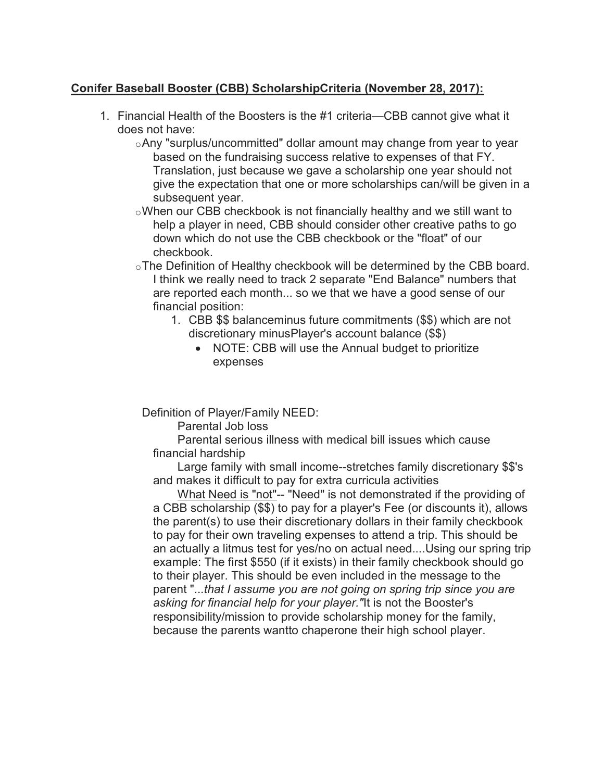## Conifer Baseball Booster (CBB) ScholarshipCriteria (November 28, 2017):

- 1. Financial Health of the Boosters is the #1 criteria—CBB cannot give what it does not have:
	- $\circ$ Any "surplus/uncommitted" dollar amount may change from year to year based on the fundraising success relative to expenses of that FY. Translation, just because we gave a scholarship one year should not give the expectation that one or more scholarships can/will be given in a subsequent year.
	- oWhen our CBB checkbook is not financially healthy and we still want to help a player in need, CBB should consider other creative paths to go down which do not use the CBB checkbook or the "float" of our checkbook.
	- oThe Definition of Healthy checkbook will be determined by the CBB board. I think we really need to track 2 separate "End Balance" numbers that are reported each month... so we that we have a good sense of our financial position:
		- 1. CBB \$\$ balanceminus future commitments (\$\$) which are not discretionary minusPlayer's account balance (\$\$)
			- NOTE: CBB will use the Annual budget to prioritize expenses

Definition of Player/Family NEED:

Parental Job loss

 Parental serious illness with medical bill issues which cause financial hardship

 Large family with small income--stretches family discretionary \$\$'s and makes it difficult to pay for extra curricula activities

 What Need is "not"-- "Need" is not demonstrated if the providing of a CBB scholarship (\$\$) to pay for a player's Fee (or discounts it), allows the parent(s) to use their discretionary dollars in their family checkbook to pay for their own traveling expenses to attend a trip. This should be an actually a litmus test for yes/no on actual need....Using our spring trip example: The first \$550 (if it exists) in their family checkbook should go to their player. This should be even included in the message to the parent "...that I assume you are not going on spring trip since you are asking for financial help for your player."It is not the Booster's responsibility/mission to provide scholarship money for the family, because the parents wantto chaperone their high school player.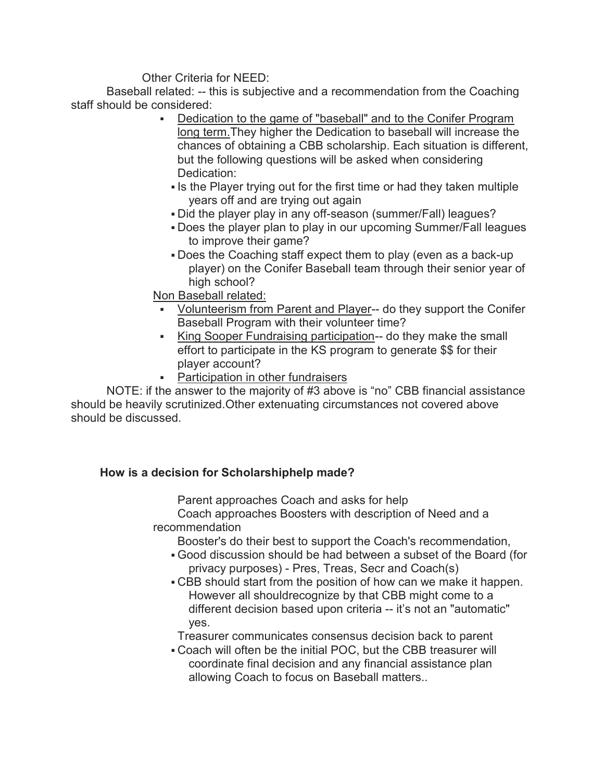Other Criteria for NEED:

 Baseball related: -- this is subjective and a recommendation from the Coaching staff should be considered:

- Dedication to the game of "baseball" and to the Conifer Program long term.They higher the Dedication to baseball will increase the chances of obtaining a CBB scholarship. Each situation is different, but the following questions will be asked when considering Dedication:
	- Is the Player trying out for the first time or had they taken multiple years off and are trying out again
	- Did the player play in any off-season (summer/Fall) leagues?
	- Does the player plan to play in our upcoming Summer/Fall leagues to improve their game?
	- Does the Coaching staff expect them to play (even as a back-up player) on the Conifer Baseball team through their senior year of high school?

Non Baseball related:

- Volunteerism from Parent and Player-- do they support the Conifer Baseball Program with their volunteer time?
- King Sooper Fundraising participation-- do they make the small effort to participate in the KS program to generate \$\$ for their player account?
- **Participation in other fundraisers**

 NOTE: if the answer to the majority of #3 above is "no" CBB financial assistance should be heavily scrutinized.Other extenuating circumstances not covered above should be discussed.

## How is a decision for Scholarshiphelp made?

Parent approaches Coach and asks for help

 Coach approaches Boosters with description of Need and a recommendation

Booster's do their best to support the Coach's recommendation,

- Good discussion should be had between a subset of the Board (for privacy purposes) - Pres, Treas, Secr and Coach(s)
- CBB should start from the position of how can we make it happen. However all shouldrecognize by that CBB might come to a different decision based upon criteria -- it's not an "automatic" yes.

Treasurer communicates consensus decision back to parent

 Coach will often be the initial POC, but the CBB treasurer will coordinate final decision and any financial assistance plan allowing Coach to focus on Baseball matters..